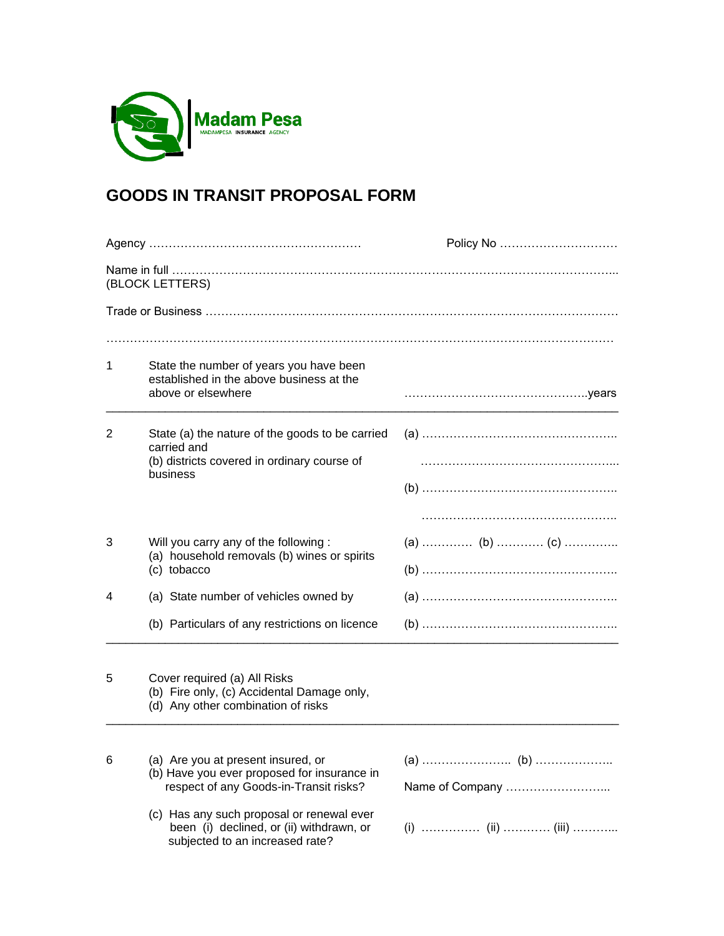

# **GOODS IN TRANSIT PROPOSAL FORM**

|                 |                                                                                                                                                                                                                                                         | Policy No       |  |  |  |  |  |  |
|-----------------|---------------------------------------------------------------------------------------------------------------------------------------------------------------------------------------------------------------------------------------------------------|-----------------|--|--|--|--|--|--|
| (BLOCK LETTERS) |                                                                                                                                                                                                                                                         |                 |  |  |  |  |  |  |
|                 |                                                                                                                                                                                                                                                         |                 |  |  |  |  |  |  |
| 1               | State the number of years you have been<br>established in the above business at the<br>above or elsewhere                                                                                                                                               |                 |  |  |  |  |  |  |
| 2               | State (a) the nature of the goods to be carried<br>carried and<br>(b) districts covered in ordinary course of<br>business                                                                                                                               |                 |  |  |  |  |  |  |
| 3               | Will you carry any of the following:<br>(a) household removals (b) wines or spirits<br>(c) tobacco                                                                                                                                                      | (a)  (b)  (c)   |  |  |  |  |  |  |
| 4               | (a) State number of vehicles owned by                                                                                                                                                                                                                   |                 |  |  |  |  |  |  |
|                 | (b) Particulars of any restrictions on licence                                                                                                                                                                                                          |                 |  |  |  |  |  |  |
| 5               | Cover required (a) All Risks<br>(b) Fire only, (c) Accidental Damage only,<br>(d) Any other combination of risks                                                                                                                                        |                 |  |  |  |  |  |  |
| 6               | (a) Are you at present insured, or<br>(b) Have you ever proposed for insurance in<br>respect of any Goods-in-Transit risks?<br>(c) Has any such proposal or renewal ever<br>been (i) declined, or (ii) withdrawn, or<br>subjected to an increased rate? | Name of Company |  |  |  |  |  |  |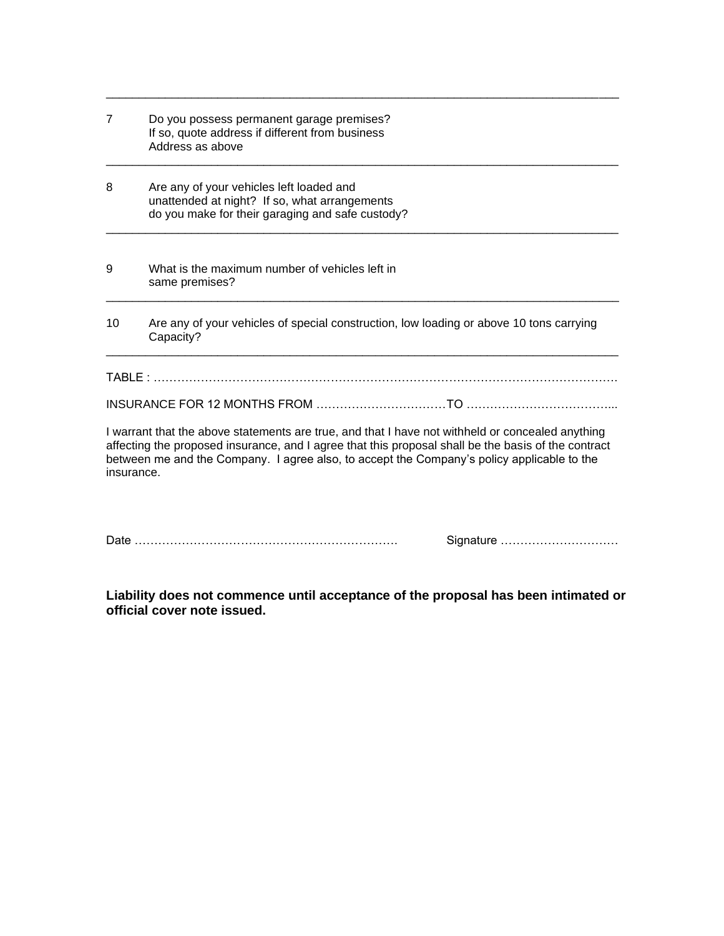| $\overline{7}$ | Do you possess permanent garage premises?<br>If so, quote address if different from business<br>Address as above<br>Are any of your vehicles left loaded and<br>unattended at night? If so, what arrangements<br>do you make for their garaging and safe custody?                                     |           |  |  |  |  |  |
|----------------|-------------------------------------------------------------------------------------------------------------------------------------------------------------------------------------------------------------------------------------------------------------------------------------------------------|-----------|--|--|--|--|--|
| 8              |                                                                                                                                                                                                                                                                                                       |           |  |  |  |  |  |
| 9              | What is the maximum number of vehicles left in<br>same premises?                                                                                                                                                                                                                                      |           |  |  |  |  |  |
| 10             | Are any of your vehicles of special construction, low loading or above 10 tons carrying<br>Capacity?                                                                                                                                                                                                  |           |  |  |  |  |  |
|                |                                                                                                                                                                                                                                                                                                       |           |  |  |  |  |  |
|                |                                                                                                                                                                                                                                                                                                       |           |  |  |  |  |  |
| insurance.     | I warrant that the above statements are true, and that I have not withheld or concealed anything<br>affecting the proposed insurance, and I agree that this proposal shall be the basis of the contract<br>between me and the Company. I agree also, to accept the Company's policy applicable to the |           |  |  |  |  |  |
|                |                                                                                                                                                                                                                                                                                                       | Signature |  |  |  |  |  |

\_\_\_\_\_\_\_\_\_\_\_\_\_\_\_\_\_\_\_\_\_\_\_\_\_\_\_\_\_\_\_\_\_\_\_\_\_\_\_\_\_\_\_\_\_\_\_\_\_\_\_\_\_\_\_\_\_\_\_\_\_\_\_\_\_\_\_\_\_\_\_\_\_\_\_\_\_\_

**Liability does not commence until acceptance of the proposal has been intimated or official cover note issued.**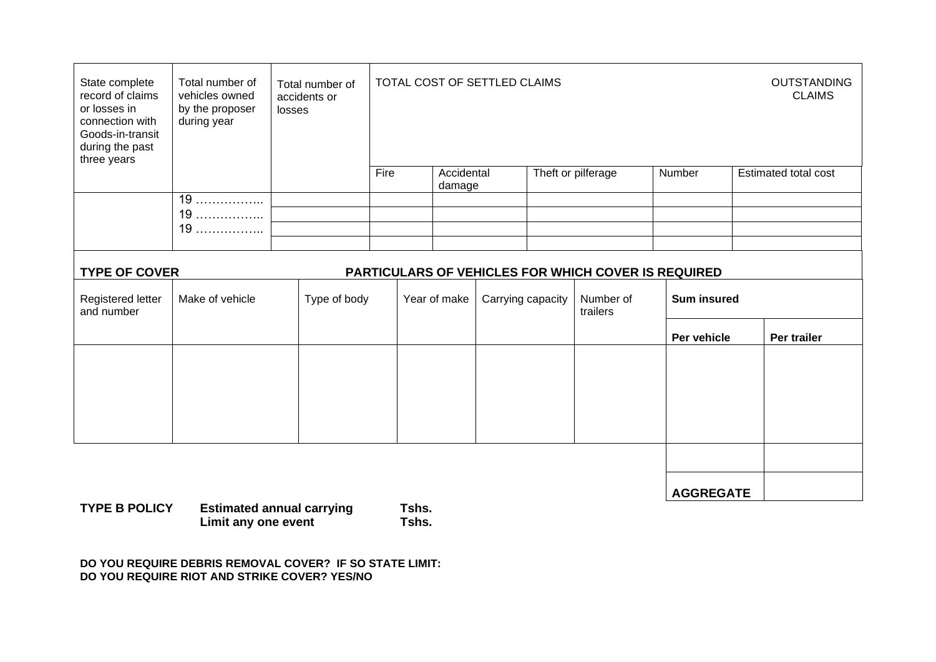| State complete<br>record of claims<br>or losses in<br>connection with<br>Goods-in-transit<br>during the past<br>three years | Total number of<br>vehicles owned<br>by the proposer<br>during year | Total number of<br>accidents or<br>losses |              | TOTAL COST OF SETTLED CLAIMS |                   |  |                       |                    | <b>OUTSTANDING</b><br><b>CLAIMS</b> |  |
|-----------------------------------------------------------------------------------------------------------------------------|---------------------------------------------------------------------|-------------------------------------------|--------------|------------------------------|-------------------|--|-----------------------|--------------------|-------------------------------------|--|
|                                                                                                                             |                                                                     |                                           | Fire         | Accidental                   |                   |  | Theft or pilferage    | Number             | Estimated total cost                |  |
|                                                                                                                             | 19                                                                  |                                           |              | damage                       |                   |  |                       |                    |                                     |  |
|                                                                                                                             | 19                                                                  |                                           |              |                              |                   |  |                       |                    |                                     |  |
|                                                                                                                             | 19                                                                  |                                           |              |                              |                   |  |                       |                    |                                     |  |
|                                                                                                                             |                                                                     |                                           |              |                              |                   |  |                       |                    |                                     |  |
| <b>TYPE OF COVER</b><br><b>PARTICULARS OF VEHICLES FOR WHICH COVER IS REQUIRED</b>                                          |                                                                     |                                           |              |                              |                   |  |                       |                    |                                     |  |
| Registered letter<br>and number                                                                                             | Make of vehicle                                                     | Type of body                              | Year of make |                              | Carrying capacity |  | Number of<br>trailers | <b>Sum insured</b> |                                     |  |
|                                                                                                                             |                                                                     |                                           |              |                              |                   |  |                       | Per vehicle        | Per trailer                         |  |
|                                                                                                                             |                                                                     |                                           |              |                              |                   |  |                       |                    |                                     |  |
|                                                                                                                             |                                                                     |                                           |              |                              |                   |  |                       |                    |                                     |  |
|                                                                                                                             |                                                                     |                                           |              |                              |                   |  |                       |                    |                                     |  |
|                                                                                                                             |                                                                     |                                           |              |                              |                   |  |                       |                    |                                     |  |
|                                                                                                                             |                                                                     |                                           |              |                              |                   |  |                       |                    |                                     |  |
|                                                                                                                             | .                                                                   |                                           |              |                              |                   |  |                       | <b>AGGREGATE</b>   |                                     |  |

**TYPE B POLICY Estimated annual carrying Tshs. Limit any one event Tshs.**

**DO YOU REQUIRE DEBRIS REMOVAL COVER? IF SO STATE LIMIT: DO YOU REQUIRE RIOT AND STRIKE COVER? YES/NO**